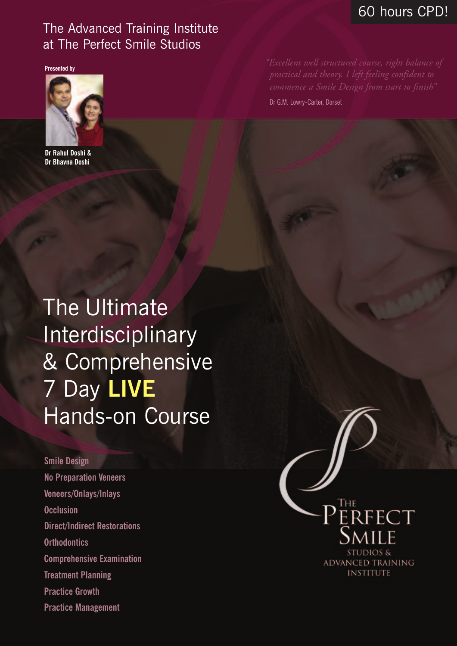#### 60 hours CPD!

#### The Advanced Training Institute at The Perfect Smile Studios

**Presented by**



**Dr Rahul Doshi & Dr Bhavna Doshi**

Dr G.M. Lowry-Carter, Dorset

The Ultimate Interdisciplinary & Comprehensive 7 Day **LIVE** Hands-on Course

#### **Smile Design**

**No Preparation Veneers Veneers/Onlays/Inlays Occlusion Direct/Indirect Restorations Orthodontics Comprehensive Examination Treatment Planning Practice Growth Practice Management**

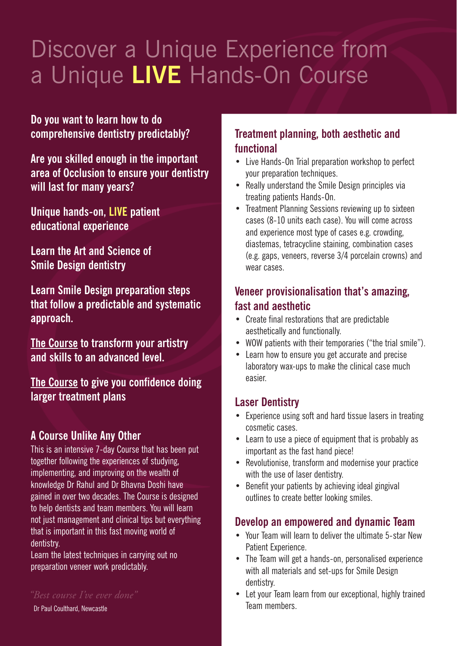## Discover a Unique Experience from a Unique **LIVE** Hands-On Course

**Do you want to learn how to do comprehensive dentistry predictably?**

**Are you skilled enough in the important area of Occlusion to ensure your dentistry will last for many years?**

**Unique hands-on, LIVE patient educational experience**

**Learn the Art and Science of Smile Design dentistry**

**Learn Smile Design preparation steps that follow a predictable and systematic approach.**

**The Course to transform your artistry and skills to an advanced level.**

**The Course to give you confidence doing larger treatment plans**

#### **A Course Unlike Any Other**

This is an intensive 7-day Course that has been put together following the experiences of studying, implementing, and improving on the wealth of knowledge Dr Rahul and Dr Bhavna Doshi have gained in over two decades. The Course is designed to help dentists and team members. You will learn not just management and clinical tips but everything that is important in this fast moving world of dentistry.

Learn the latest techniques in carrying out no preparation veneer work predictably.

*"Best course I've ever done"*

Dr Paul Coulthard, Newcastle

#### **Treatment planning, both aesthetic and functional**

- Live Hands-On Trial preparation workshop to perfect your preparation techniques.
- Really understand the Smile Design principles via treating patients Hands-On.
- Treatment Planning Sessions reviewing up to sixteen cases (8-10 units each case). You will come across and experience most type of cases e.g. crowding, diastemas, tetracycline staining, combination cases (e.g. gaps, veneers, reverse 3/4 porcelain crowns) and wear cases.

#### **Veneer provisionalisation that's amazing, fast and aesthetic**

- Create final restorations that are predictable aesthetically and functionally.
- WOW patients with their temporaries ("the trial smile").
- Learn how to ensure you get accurate and precise laboratory wax-ups to make the clinical case much easier.

#### **Laser Dentistry**

- Experience using soft and hard tissue lasers in treating cosmetic cases.
- Learn to use a piece of equipment that is probably as important as the fast hand piece!
- Revolutionise, transform and modernise your practice with the use of laser dentistry.
- Benefit your patients by achieving ideal gingival outlines to create better looking smiles.

#### **Develop an empowered and dynamic Team**

- Your Team will learn to deliver the ultimate 5-star New Patient Experience
- The Team will get a hands-on, personalised experience with all materials and set-ups for Smile Design dentistry.
- Let your Team learn from our exceptional, highly trained Team members.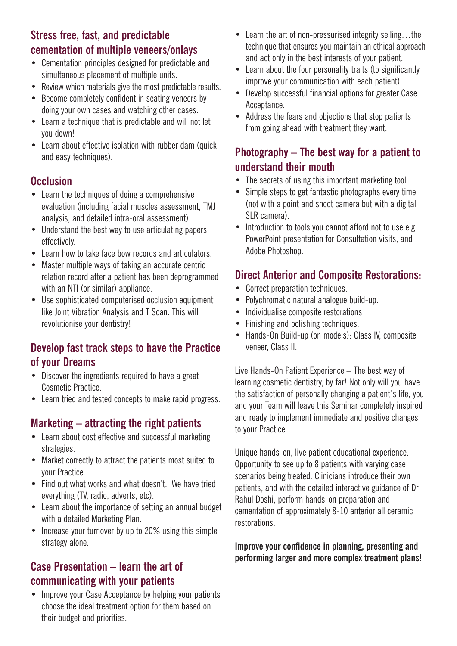#### **Stress free, fast, and predictable cementation of multiple veneers/onlays**

- Cementation principles designed for predictable and simultaneous placement of multiple units.
- Review which materials give the most predictable results.
- Become completely confident in seating veneers by doing your own cases and watching other cases.
- Learn a technique that is predictable and will not let you down!
- Learn about effective isolation with rubber dam (quick and easy techniques).

#### **Occlusion**

- Learn the techniques of doing a comprehensive evaluation (including facial muscles assessment, TMJ analysis, and detailed intra-oral assessment).
- Understand the best way to use articulating papers effectively.
- Learn how to take face bow records and articulators.
- Master multiple ways of taking an accurate centric relation record after a patient has been deprogrammed with an NTI (or similar) appliance.
- Use sophisticated computerised occlusion equipment like Joint Vibration Analysis and T Scan. This will revolutionise your dentistry!

#### **Develop fast track steps to have the Practice of your Dreams**

- Discover the ingredients required to have a great Cosmetic Practice.
- Learn tried and tested concepts to make rapid progress.

#### **Marketing – attracting the right patients**

- Learn about cost effective and successful marketing strategies.
- Market correctly to attract the patients most suited to your Practice.
- Find out what works and what doesn't. We have tried everything (TV, radio, adverts, etc).
- Learn about the importance of setting an annual budget with a detailed Marketing Plan.
- Increase your turnover by up to 20% using this simple strategy alone.

#### **Case Presentation – learn the art of communicating with your patients**

• Improve your Case Acceptance by helping your patients choose the ideal treatment option for them based on their budget and priorities.

- Learn the art of non-pressurised integrity selling...the technique that ensures you maintain an ethical approach and act only in the best interests of your patient.
- Learn about the four personality traits (to significantly improve your communication with each patient).
- Develop successful financial options for greater Case Acceptance.
- Address the fears and objections that stop patients from going ahead with treatment they want.

#### **Photography – The best way for a patient to understand their mouth**

- The secrets of using this important marketing tool.
- Simple steps to get fantastic photographs every time (not with a point and shoot camera but with a digital SLR camera)
- Introduction to tools you cannot afford not to use e.g. PowerPoint presentation for Consultation visits, and Adobe Photoshop.

#### **Direct Anterior and Composite Restorations:**

- Correct preparation techniques.
- Polychromatic natural analogue build-up.
- Individualise composite restorations
- Finishing and polishing techniques.
- Hands-On Build-up (on models): Class IV, composite veneer, Class II.

Live Hands-On Patient Experience – The best way of learning cosmetic dentistry, by far! Not only will you have the satisfaction of personally changing a patient's life, you and your Team will leave this Seminar completely inspired and ready to implement immediate and positive changes to your Practice.

Unique hands-on, live patient educational experience. Opportunity to see up to 8 patients with varying case scenarios being treated. Clinicians introduce their own patients, and with the detailed interactive guidance of Dr Rahul Doshi, perform hands-on preparation and cementation of approximately 8-10 anterior all ceramic restorations.

**Improve your confidence in planning, presenting and performing larger and more complex treatment plans!**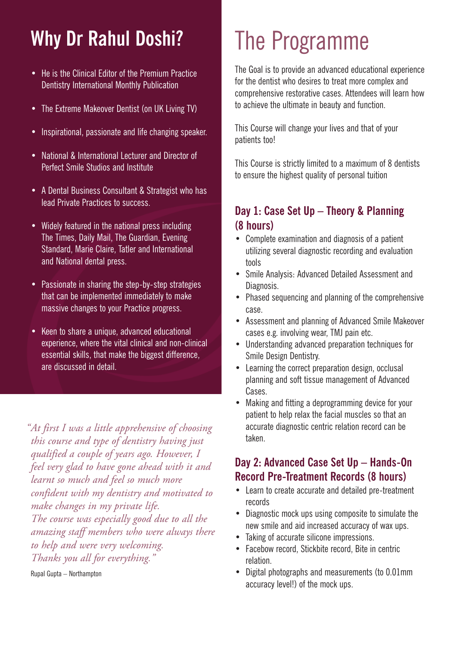### **Why Dr Rahul Doshi?**

- He is the Clinical Editor of the Premium Practice Dentistry International Monthly Publication
- The Extreme Makeover Dentist (on UK Living TV)
- Inspirational, passionate and life changing speaker.
- National & International Lecturer and Director of Perfect Smile Studios and Institute
- A Dental Business Consultant & Strategist who has lead Private Practices to success.
- Widely featured in the national press including The Times, Daily Mail, The Guardian, Evening Standard, Marie Claire, Tatler and International and National dental press.
- Passionate in sharing the step-by-step strategies that can be implemented immediately to make massive changes to your Practice progress.
- Keen to share a unique, advanced educational experience, where the vital clinical and non-clinical essential skills, that make the biggest difference, are discussed in detail.

*"At first I was a little apprehensive of choosing this course and type of dentistry having just qualified a couple of years ago. However, I feel very glad to have gone ahead with it and learnt so much and feel so much more confident with my dentistry and motivated to make changes in my private life. The course was especially good due to all the amazing staff members who were always there to help and were very welcoming. Thanks you all for everything."*

Rupal Gupta – Northampton

# The Programme

The Goal is to provide an advanced educational experience for the dentist who desires to treat more complex and comprehensive restorative cases. Attendees will learn how to achieve the ultimate in beauty and function.

This Course will change your lives and that of your patients too!

This Course is strictly limited to a maximum of 8 dentists to ensure the highest quality of personal tuition

#### **Day 1: Case Set Up – Theory & Planning (8 hours)**

- Complete examination and diagnosis of a patient utilizing several diagnostic recording and evaluation tools
- Smile Analysis: Advanced Detailed Assessment and Diagnosis.
- Phased sequencing and planning of the comprehensive case.
- Assessment and planning of Advanced Smile Makeover cases e.g. involving wear, TMJ pain etc.
- Understanding advanced preparation techniques for Smile Design Dentistry.
- Learning the correct preparation design, occlusal planning and soft tissue management of Advanced Cases.
- Making and fitting a deprogramming device for your patient to help relax the facial muscles so that an accurate diagnostic centric relation record can be taken.

#### **Day 2: Advanced Case Set Up – Hands-On Record Pre-Treatment Records (8 hours)**

- Learn to create accurate and detailed pre-treatment records
- Diagnostic mock ups using composite to simulate the new smile and aid increased accuracy of wax ups.
- Taking of accurate silicone impressions.
- Facebow record, Stickbite record, Bite in centric relation.
- Digital photographs and measurements (to 0.01mm accuracy level!) of the mock ups.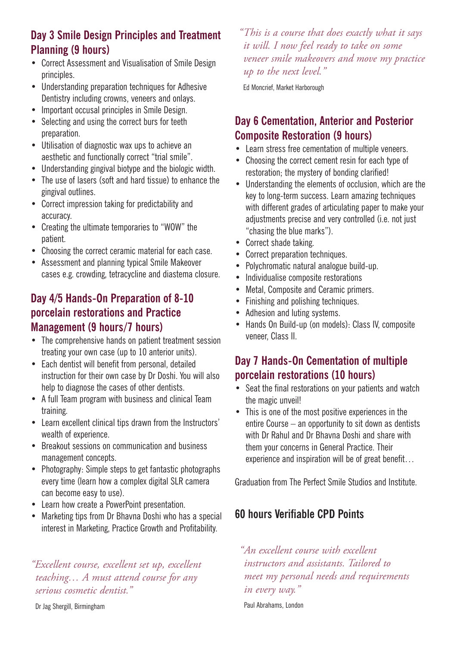#### **Day 3 Smile Design Principles and Treatment Planning (9 hours)**

- Correct Assessment and Visualisation of Smile Design principles.
- Understanding preparation techniques for Adhesive Dentistry including crowns, veneers and onlays.
- Important occusal principles in Smile Design.
- Selecting and using the correct burs for teeth preparation.
- Utilisation of diagnostic wax ups to achieve an aesthetic and functionally correct "trial smile".
- Understanding gingival biotype and the biologic width.
- The use of lasers (soft and hard tissue) to enhance the gingival outlines.
- Correct impression taking for predictability and accuracy.
- Creating the ultimate temporaries to "WOW" the patient.
- Choosing the correct ceramic material for each case.
- Assessment and planning typical Smile Makeover cases e.g. crowding, tetracycline and diastema closure.

#### **Day 4/5 Hands-On Preparation of 8-10 porcelain restorations and Practice Management (9 hours/7 hours)**

- The comprehensive hands on patient treatment session treating your own case (up to 10 anterior units).
- Each dentist will benefit from personal, detailed instruction for their own case by Dr Doshi. You will also help to diagnose the cases of other dentists.
- A full Team program with business and clinical Team training.
- Learn excellent clinical tips drawn from the Instructors' wealth of experience.
- Breakout sessions on communication and business management concepts.
- Photography: Simple steps to get fantastic photographs every time (learn how a complex digital SLR camera can become easy to use).
- Learn how create a PowerPoint presentation.
- Marketing tips from Dr Bhavna Doshi who has a special interest in Marketing, Practice Growth and Profitability.

#### *"Excellent course, excellent set up, excellent teaching… A must attend course for any serious cosmetic dentist."*

Dr Jag Shergill, Birmingham

*"This is a course that does exactly what it says it will. I now feel ready to take on some veneer smile makeovers and move my practice up to the next level."*

Ed Moncrief, Market Harborough

#### **Day 6 Cementation, Anterior and Posterior Composite Restoration (9 hours)**

- Learn stress free cementation of multiple veneers.
- Choosing the correct cement resin for each type of restoration; the mystery of bonding clarified!
- Understanding the elements of occlusion, which are the key to long-term success. Learn amazing techniques with different grades of articulating paper to make your adjustments precise and very controlled (i.e. not just "chasing the blue marks").
- Correct shade taking.
- Correct preparation techniques.
- Polychromatic natural analogue build-up.
- Individualise composite restorations
- Metal, Composite and Ceramic primers.
- Finishing and polishing techniques.
- Adhesion and luting systems.
- Hands On Build-up (on models): Class IV, composite veneer, Class II.

#### **Day 7 Hands-On Cementation of multiple porcelain restorations (10 hours)**

- Seat the final restorations on your patients and watch the magic unveil!
- This is one of the most positive experiences in the entire Course – an opportunity to sit down as dentists with Dr Rahul and Dr Bhavna Doshi and share with them your concerns in General Practice. Their experience and inspiration will be of great benefit…

Graduation from The Perfect Smile Studios and Institute.

#### **60 hours Verifiable CPD Points**

*"An excellent course with excellent instructors and assistants. Tailored to meet my personal needs and requirements in every way."*

Paul Abrahams, London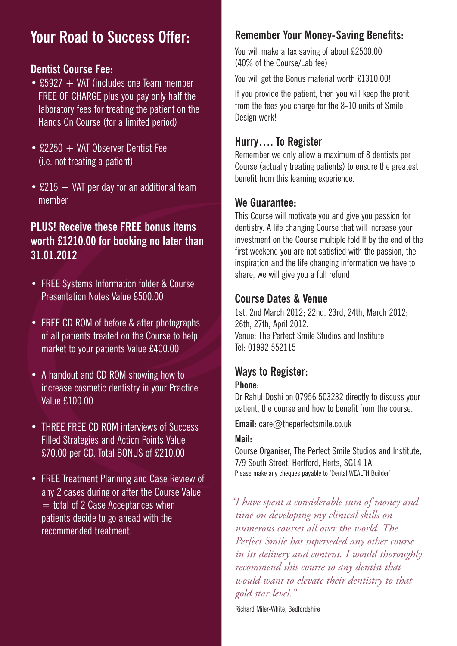### **Your Road to Success Offer:**

#### **Dentist Course Fee:**

- £5927  $+$  VAT (includes one Team member FREE OF CHARGE plus you pay only half the laboratory fees for treating the patient on the Hands On Course (for a limited period)
- $f.2250 + VAT$  Observer Dentist Fee (i.e. not treating a patient)
- £215  $+$  VAT per day for an additional team member

#### **PLUS! Receive these FREE bonus items worth £1210.00 for booking no later than 31.01.2012**

- FREE Systems Information folder & Course Presentation Notes Value £500.00
- FREE CD ROM of before & after photographs of all patients treated on the Course to help market to your patients Value £400.00
- A handout and CD ROM showing how to increase cosmetic dentistry in your Practice Value £100.00
- THREE FREE CD ROM interviews of Success Filled Strategies and Action Points Value £70.00 per CD. Total BONUS of £210.00
- FREE Treatment Planning and Case Review of any 2 cases during or after the Course Value  $=$  total of 2 Case Acceptances when patients decide to go ahead with the recommended treatment.

#### **Remember Your Money-Saving Benefits:**

You will make a tax saving of about £2500.00 (40% of the Course/Lab fee)

You will get the Bonus material worth £1310.00!

If you provide the patient, then you will keep the profit from the fees you charge for the 8-10 units of Smile Design work!

#### **Hurry…. To Register**

Remember we only allow a maximum of 8 dentists per Course (actually treating patients) to ensure the greatest benefit from this learning experience.

#### **We Guarantee:**

This Course will motivate you and give you passion for dentistry. A life changing Course that will increase your investment on the Course multiple fold.If by the end of the first weekend you are not satisfied with the passion, the inspiration and the life changing information we have to share, we will give you a full refund!

#### **Course Dates & Venue**

1st, 2nd March 2012; 22nd, 23rd, 24th, March 2012; 26th, 27th, April 2012. Venue: The Perfect Smile Studios and Institute Tel: 01992 552115

#### **Ways to Register:**

#### **Phone:**

Dr Rahul Doshi on 07956 503232 directly to discuss your patient, the course and how to benefit from the course.

**Email:** care@theperfectsmile.co.uk

#### **Mail:**

Course Organiser, The Perfect Smile Studios and Institute, 7/9 South Street, Hertford, Herts, SG14 1A Please make any cheques payable to 'Dental WEALTH Builder'

*"I have spent a considerable sum of money and time on developing my clinical skills on numerous courses all over the world. The Perfect Smile has superseded any other course in its delivery and content. I would thoroughly recommend this course to any dentist that would want to elevate their dentistry to that gold star level."*

Richard Miler-White, Bedfordshire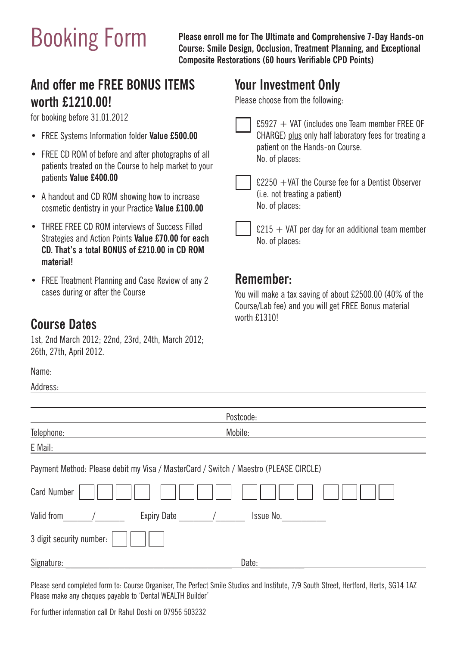Booking Form **Please enroll me for The Ultimate and Comprehensive 7-Day Hands-on Course: Smile Design, Occlusion, Treatment Planning, and Exceptional Composite Restorations (60 hours Verifiable CPD Points)**

#### **And offer me FREE BONUS ITEMS worth £1210.00!**

for booking before 31.01.2012

- **•** FREE Systems Information folder **Value £500.00**
- **•** FREE CD ROM of before and after photographs of all patients treated on the Course to help market to your patients **Value £400.00**
- **•** A handout and CD ROM showing how to increase cosmetic dentistry in your Practice **Value £100.00**
- **•** THREE FREE CD ROM interviews of Success Filled Strategies and Action Points **Value £70.00 for each CD. That's a total BONUS of £210.00 in CD ROM material!**
- **•** FREE Treatment Planning and Case Review of any 2 cases during or after the Course

#### **Course Dates**

Name:

1st, 2nd March 2012; 22nd, 23rd, 24th, March 2012; 26th, 27th, April 2012.

### **Your Investment Only**

Please choose from the following:

- £5927 + VAT (includes one Team member FREE OF CHARGE) plus only half laboratory fees for treating a patient on the Hands-on Course. No. of places:
- £2250 +VAT the Course fee for a Dentist Observer (i.e. not treating a patient) No. of places:
- $£215 + VAT$  per day for an additional team member No. of places:

#### **Remember:**

You will make a tax saving of about £2500.00 (40% of the Course/Lab fee) and you will get FREE Bonus material worth £1310!

| NQIIIU                                                                               |           |
|--------------------------------------------------------------------------------------|-----------|
| Address:                                                                             |           |
|                                                                                      |           |
|                                                                                      | Postcode: |
| Telephone:                                                                           | Mobile:   |
| E Mail:                                                                              |           |
| Payment Method: Please debit my Visa / MasterCard / Switch / Maestro (PLEASE CIRCLE) |           |
| <b>Card Number</b>                                                                   |           |
| Valid from<br><b>Expiry Date</b>                                                     | Issue No. |
| 3 digit security number:                                                             |           |
| Signature:                                                                           | Date:     |

Please send completed form to: Course Organiser, The Perfect Smile Studios and Institute, 7/9 South Street, Hertford, Herts, SG14 1AZ Please make any cheques payable to 'Dental WEALTH Builder'

For further information call Dr Rahul Doshi on 07956 503232